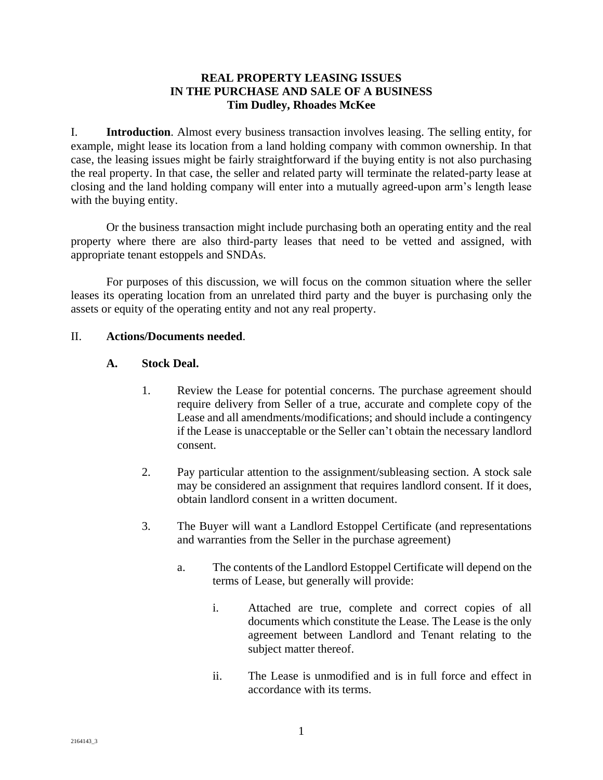## **REAL PROPERTY LEASING ISSUES IN THE PURCHASE AND SALE OF A BUSINESS Tim Dudley, Rhoades McKee**

I. **Introduction**. Almost every business transaction involves leasing. The selling entity, for example, might lease its location from a land holding company with common ownership. In that case, the leasing issues might be fairly straightforward if the buying entity is not also purchasing the real property. In that case, the seller and related party will terminate the related-party lease at closing and the land holding company will enter into a mutually agreed-upon arm's length lease with the buying entity.

Or the business transaction might include purchasing both an operating entity and the real property where there are also third-party leases that need to be vetted and assigned, with appropriate tenant estoppels and SNDAs.

For purposes of this discussion, we will focus on the common situation where the seller leases its operating location from an unrelated third party and the buyer is purchasing only the assets or equity of the operating entity and not any real property.

## II. **Actions/Documents needed**.

## **A. Stock Deal.**

- 1. Review the Lease for potential concerns. The purchase agreement should require delivery from Seller of a true, accurate and complete copy of the Lease and all amendments/modifications; and should include a contingency if the Lease is unacceptable or the Seller can't obtain the necessary landlord consent.
- 2. Pay particular attention to the assignment/subleasing section. A stock sale may be considered an assignment that requires landlord consent. If it does, obtain landlord consent in a written document.
- 3. The Buyer will want a Landlord Estoppel Certificate (and representations and warranties from the Seller in the purchase agreement)
	- a. The contents of the Landlord Estoppel Certificate will depend on the terms of Lease, but generally will provide:
		- i. Attached are true, complete and correct copies of all documents which constitute the Lease. The Lease is the only agreement between Landlord and Tenant relating to the subject matter thereof.
		- ii. The Lease is unmodified and is in full force and effect in accordance with its terms.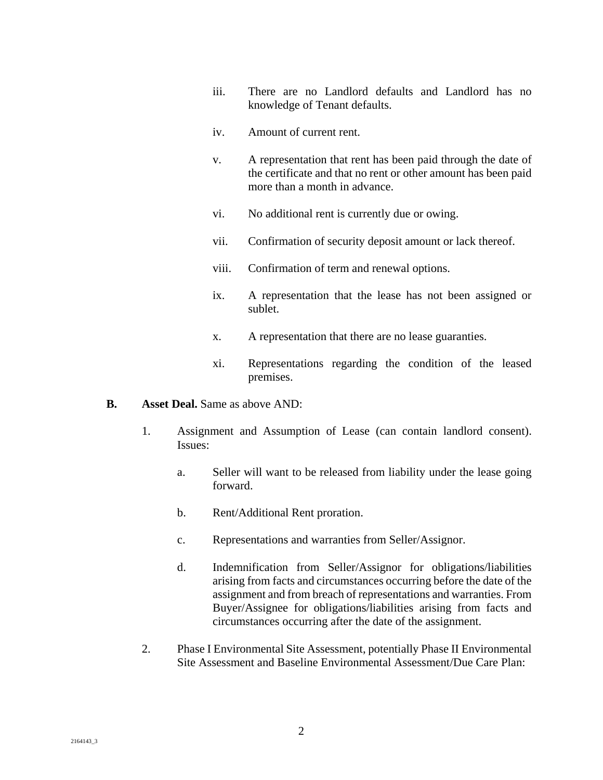- iii. There are no Landlord defaults and Landlord has no knowledge of Tenant defaults.
- iv. Amount of current rent.
- v. A representation that rent has been paid through the date of the certificate and that no rent or other amount has been paid more than a month in advance.
- vi. No additional rent is currently due or owing.
- vii. Confirmation of security deposit amount or lack thereof.
- viii. Confirmation of term and renewal options.
- ix. A representation that the lease has not been assigned or sublet.
- x. A representation that there are no lease guaranties.
- xi. Representations regarding the condition of the leased premises.

#### **B. Asset Deal.** Same as above AND:

- 1. Assignment and Assumption of Lease (can contain landlord consent). Issues:
	- a. Seller will want to be released from liability under the lease going forward.
	- b. Rent/Additional Rent proration.
	- c. Representations and warranties from Seller/Assignor.
	- d. Indemnification from Seller/Assignor for obligations/liabilities arising from facts and circumstances occurring before the date of the assignment and from breach of representations and warranties. From Buyer/Assignee for obligations/liabilities arising from facts and circumstances occurring after the date of the assignment.
- 2. Phase I Environmental Site Assessment, potentially Phase II Environmental Site Assessment and Baseline Environmental Assessment/Due Care Plan: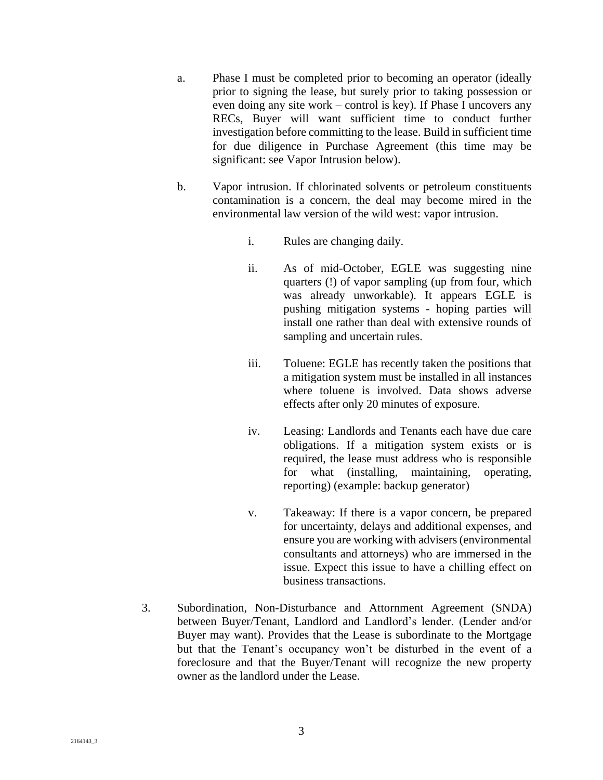- a. Phase I must be completed prior to becoming an operator (ideally prior to signing the lease, but surely prior to taking possession or even doing any site work – control is key). If Phase I uncovers any RECs, Buyer will want sufficient time to conduct further investigation before committing to the lease. Build in sufficient time for due diligence in Purchase Agreement (this time may be significant: see Vapor Intrusion below).
- b. Vapor intrusion. If chlorinated solvents or petroleum constituents contamination is a concern, the deal may become mired in the environmental law version of the wild west: vapor intrusion.
	- i. Rules are changing daily.
	- ii. As of mid-October, EGLE was suggesting nine quarters (!) of vapor sampling (up from four, which was already unworkable). It appears EGLE is pushing mitigation systems - hoping parties will install one rather than deal with extensive rounds of sampling and uncertain rules.
	- iii. Toluene: EGLE has recently taken the positions that a mitigation system must be installed in all instances where toluene is involved. Data shows adverse effects after only 20 minutes of exposure.
	- iv. Leasing: Landlords and Tenants each have due care obligations. If a mitigation system exists or is required, the lease must address who is responsible for what (installing, maintaining, operating, reporting) (example: backup generator)
	- v. Takeaway: If there is a vapor concern, be prepared for uncertainty, delays and additional expenses, and ensure you are working with advisers (environmental consultants and attorneys) who are immersed in the issue. Expect this issue to have a chilling effect on business transactions.
- 3. Subordination, Non-Disturbance and Attornment Agreement (SNDA) between Buyer/Tenant, Landlord and Landlord's lender. (Lender and/or Buyer may want). Provides that the Lease is subordinate to the Mortgage but that the Tenant's occupancy won't be disturbed in the event of a foreclosure and that the Buyer/Tenant will recognize the new property owner as the landlord under the Lease.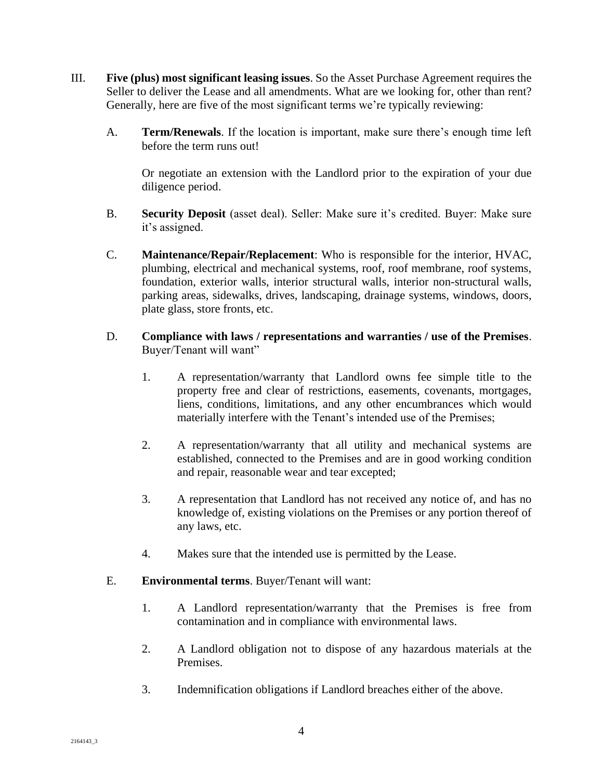- III. **Five (plus) most significant leasing issues**. So the Asset Purchase Agreement requires the Seller to deliver the Lease and all amendments. What are we looking for, other than rent? Generally, here are five of the most significant terms we're typically reviewing:
	- A. **Term/Renewals**. If the location is important, make sure there's enough time left before the term runs out!

Or negotiate an extension with the Landlord prior to the expiration of your due diligence period.

- B. **Security Deposit** (asset deal). Seller: Make sure it's credited. Buyer: Make sure it's assigned.
- C. **Maintenance/Repair/Replacement**: Who is responsible for the interior, HVAC, plumbing, electrical and mechanical systems, roof, roof membrane, roof systems, foundation, exterior walls, interior structural walls, interior non-structural walls, parking areas, sidewalks, drives, landscaping, drainage systems, windows, doors, plate glass, store fronts, etc.
- D. **Compliance with laws / representations and warranties / use of the Premises**. Buyer/Tenant will want"
	- 1. A representation/warranty that Landlord owns fee simple title to the property free and clear of restrictions, easements, covenants, mortgages, liens, conditions, limitations, and any other encumbrances which would materially interfere with the Tenant's intended use of the Premises;
	- 2. A representation/warranty that all utility and mechanical systems are established, connected to the Premises and are in good working condition and repair, reasonable wear and tear excepted;
	- 3. A representation that Landlord has not received any notice of, and has no knowledge of, existing violations on the Premises or any portion thereof of any laws, etc.
	- 4. Makes sure that the intended use is permitted by the Lease.

# E. **Environmental terms**. Buyer/Tenant will want:

- 1. A Landlord representation/warranty that the Premises is free from contamination and in compliance with environmental laws.
- 2. A Landlord obligation not to dispose of any hazardous materials at the Premises.
- 3. Indemnification obligations if Landlord breaches either of the above.